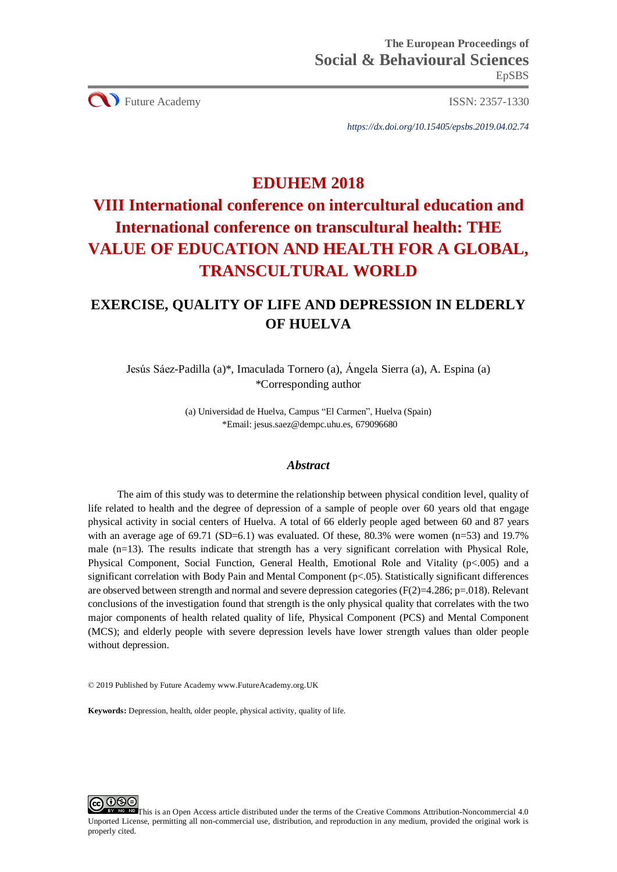CU Future Academy ISSN: 2357-1330

*https://dx.doi.org/10.15405/epsbs.2019.04.02.74*

## **EDUHEM 2018**

# **VIII International conference on intercultural education and International conference on transcultural health: THE VALUE OF EDUCATION AND HEALTH FOR A GLOBAL, TRANSCULTURAL WORLD**

## **EXERCISE, QUALITY OF LIFE AND DEPRESSION IN ELDERLY OF HUELVA**

Jesús Sáez-Padilla (a)\*, Imaculada Tornero (a), Ángela Sierra (a), A. Espina (a) \*Corresponding author

> (a) Universidad de Huelva, Campus "El Carmen", Huelva (Spain) \*Email: jesus.saez@dempc.uhu.es, 679096680

## *Abstract*

The aim of this study was to determine the relationship between physical condition level, quality of life related to health and the degree of depression of a sample of people over 60 years old that engage physical activity in social centers of Huelva. A total of 66 elderly people aged between 60 and 87 years with an average age of  $69.71$  (SD=6.1) was evaluated. Of these,  $80.3\%$  were women (n=53) and 19.7% male (n=13). The results indicate that strength has a very significant correlation with Physical Role, Physical Component, Social Function, General Health, Emotional Role and Vitality (p<.005) and a significant correlation with Body Pain and Mental Component (p<.05). Statistically significant differences are observed between strength and normal and severe depression categories ( $F(2)=4.286$ ; p=.018). Relevant conclusions of the investigation found that strength is the only physical quality that correlates with the two major components of health related quality of life, Physical Component (PCS) and Mental Component (MCS); and elderly people with severe depression levels have lower strength values than older people without depression.

© 2019 Published by Future Academy www.FutureAcademy.org.UK

**Keywords:** Depression, health, older people, physical activity, quality of life.



This is an Open Access article distributed under the terms of the Creative Commons Attribution-Noncommercial 4.0 Unported License, permitting all non-commercial use, distribution, and reproduction in any medium, provided the original work is properly cited.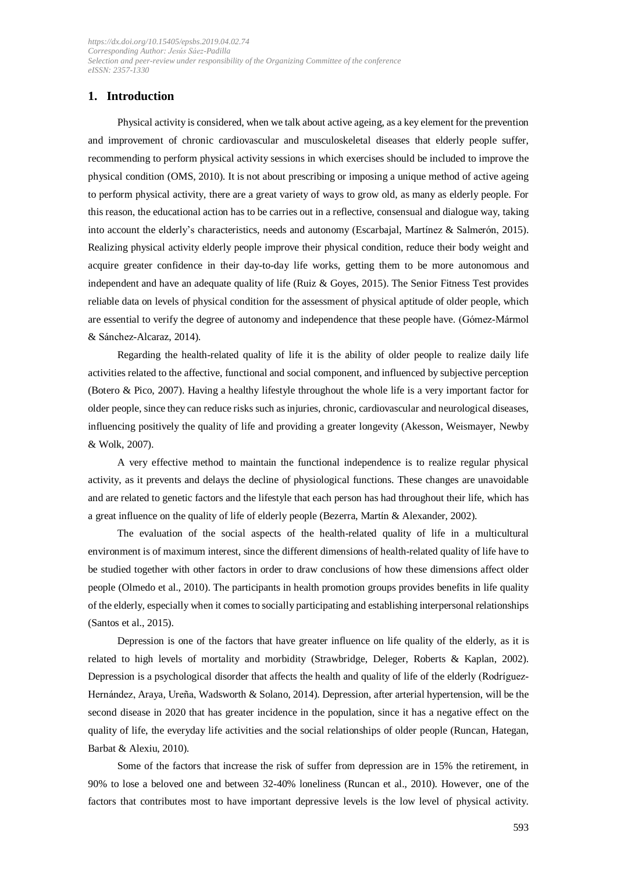## **1. Introduction**

Physical activity is considered, when we talk about active ageing, as a key element for the prevention and improvement of chronic cardiovascular and musculoskeletal diseases that elderly people suffer, recommending to perform physical activity sessions in which exercises should be included to improve the physical condition (OMS, 2010). It is not about prescribing or imposing a unique method of active ageing to perform physical activity, there are a great variety of ways to grow old, as many as elderly people. For this reason, the educational action has to be carries out in a reflective, consensual and dialogue way, taking into account the elderly's characteristics, needs and autonomy (Escarbajal, Martínez & Salmerón, 2015). Realizing physical activity elderly people improve their physical condition, reduce their body weight and acquire greater confidence in their day-to-day life works, getting them to be more autonomous and independent and have an adequate quality of life (Ruiz & Goyes, 2015). The Senior Fitness Test provides reliable data on levels of physical condition for the assessment of physical aptitude of older people, which are essential to verify the degree of autonomy and independence that these people have. (Gómez-Mármol & Sánchez-Alcaraz, 2014).

Regarding the health-related quality of life it is the ability of older people to realize daily life activities related to the affective, functional and social component, and influenced by subjective perception (Botero & Pico, 2007). Having a healthy lifestyle throughout the whole life is a very important factor for older people, since they can reduce risks such asinjuries, chronic, cardiovascular and neurological diseases, influencing positively the quality of life and providing a greater longevity (Akesson, Weismayer, Newby & Wolk, 2007).

A very effective method to maintain the functional independence is to realize regular physical activity, as it prevents and delays the decline of physiological functions. These changes are unavoidable and are related to genetic factors and the lifestyle that each person has had throughout their life, which has a great influence on the quality of life of elderly people (Bezerra, Martín & Alexander, 2002).

The evaluation of the social aspects of the health-related quality of life in a multicultural environment is of maximum interest, since the different dimensions of health-related quality of life have to be studied together with other factors in order to draw conclusions of how these dimensions affect older people (Olmedo et al., 2010). The participants in health promotion groups provides benefits in life quality of the elderly, especially when it comes to socially participating and establishing interpersonal relationships (Santos et al., 2015).

Depression is one of the factors that have greater influence on life quality of the elderly, as it is related to high levels of mortality and morbidity (Strawbridge, Deleger, Roberts & Kaplan, 2002). Depression is a psychological disorder that affects the health and quality of life of the elderly (Rodríguez-Hernández, Araya, Ureña, Wadsworth & Solano, 2014). Depression, after arterial hypertension, will be the second disease in 2020 that has greater incidence in the population, since it has a negative effect on the quality of life, the everyday life activities and the social relationships of older people (Runcan, Hategan, Barbat & Alexiu, 2010).

Some of the factors that increase the risk of suffer from depression are in 15% the retirement, in 90% to lose a beloved one and between 32-40% loneliness (Runcan et al., 2010). However, one of the factors that contributes most to have important depressive levels is the low level of physical activity.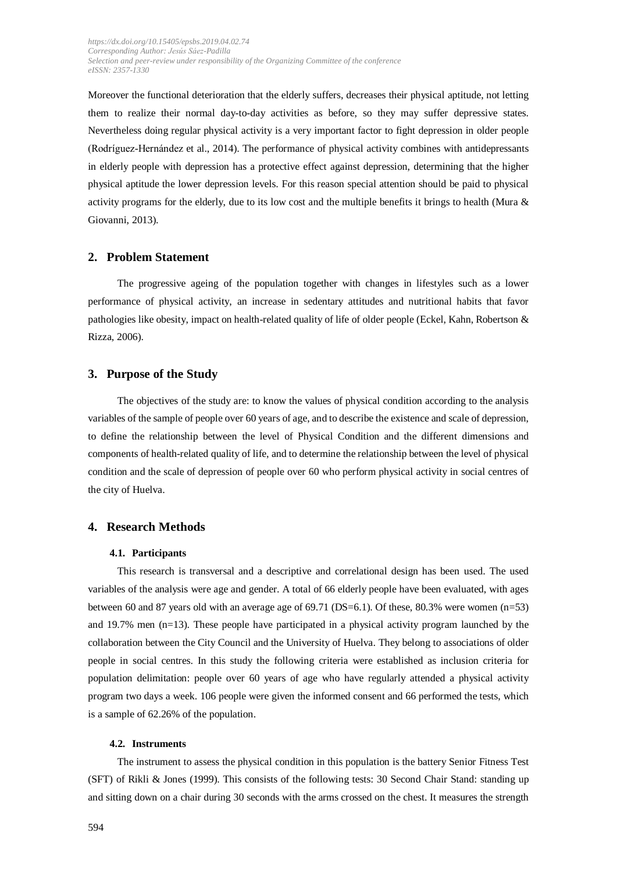Moreover the functional deterioration that the elderly suffers, decreases their physical aptitude, not letting them to realize their normal day-to-day activities as before, so they may suffer depressive states. Nevertheless doing regular physical activity is a very important factor to fight depression in older people (Rodríguez-Hernández et al., 2014). The performance of physical activity combines with antidepressants in elderly people with depression has a protective effect against depression, determining that the higher physical aptitude the lower depression levels. For this reason special attention should be paid to physical activity programs for the elderly, due to its low cost and the multiple benefits it brings to health (Mura  $\&$ Giovanni, 2013).

## **2. Problem Statement**

The progressive ageing of the population together with changes in lifestyles such as a lower performance of physical activity, an increase in sedentary attitudes and nutritional habits that favor pathologies like obesity, impact on health-related quality of life of older people (Eckel, Kahn, Robertson & Rizza, 2006).

#### **3. Purpose of the Study**

The objectives of the study are: to know the values of physical condition according to the analysis variables of the sample of people over 60 years of age, and to describe the existence and scale of depression, to define the relationship between the level of Physical Condition and the different dimensions and components of health-related quality of life, and to determine the relationship between the level of physical condition and the scale of depression of people over 60 who perform physical activity in social centres of the city of Huelva.

## **4. Research Methods**

#### **4.1. Participants**

This research is transversal and a descriptive and correlational design has been used. The used variables of the analysis were age and gender. A total of 66 elderly people have been evaluated, with ages between 60 and 87 years old with an average age of 69.71 (DS=6.1). Of these, 80.3% were women (n=53) and 19.7% men (n=13). These people have participated in a physical activity program launched by the collaboration between the City Council and the University of Huelva. They belong to associations of older people in social centres. In this study the following criteria were established as inclusion criteria for population delimitation: people over 60 years of age who have regularly attended a physical activity program two days a week. 106 people were given the informed consent and 66 performed the tests, which is a sample of 62.26% of the population.

### **4.2. Instruments**

The instrument to assess the physical condition in this population is the battery Senior Fitness Test (SFT) of Rikli & Jones (1999). This consists of the following tests: 30 Second Chair Stand: standing up and sitting down on a chair during 30 seconds with the arms crossed on the chest. It measures the strength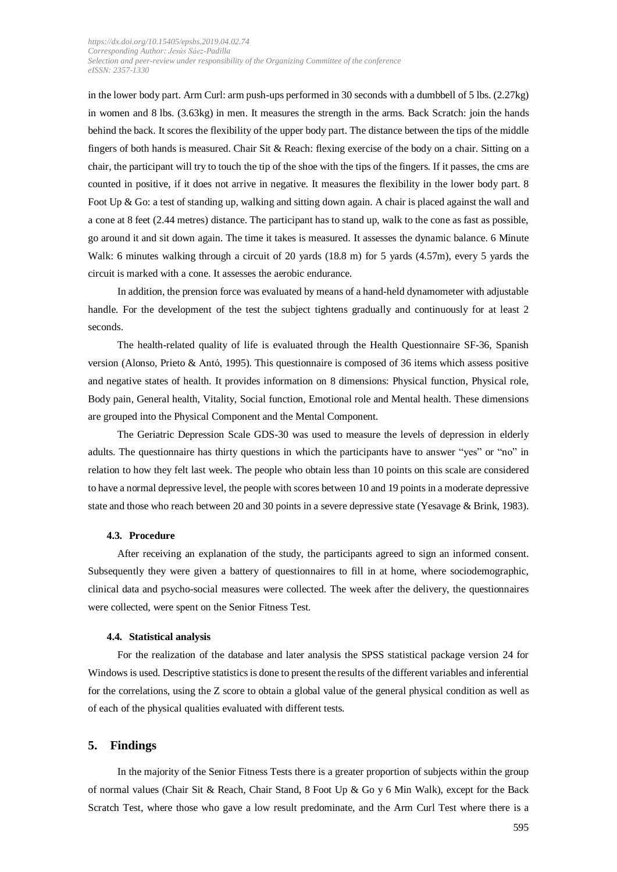in the lower body part. Arm Curl: arm push-ups performed in 30 seconds with a dumbbell of 5 lbs. (2.27kg) in women and 8 lbs. (3.63kg) in men. It measures the strength in the arms. Back Scratch: join the hands behind the back. It scores the flexibility of the upper body part. The distance between the tips of the middle fingers of both hands is measured. Chair Sit & Reach: flexing exercise of the body on a chair. Sitting on a chair, the participant will try to touch the tip of the shoe with the tips of the fingers. If it passes, the cms are counted in positive, if it does not arrive in negative. It measures the flexibility in the lower body part. 8 Foot Up & Go: a test of standing up, walking and sitting down again. A chair is placed against the wall and a cone at 8 feet (2.44 metres) distance. The participant has to stand up, walk to the cone as fast as possible, go around it and sit down again. The time it takes is measured. It assesses the dynamic balance. 6 Minute Walk: 6 minutes walking through a circuit of 20 yards (18.8 m) for 5 yards (4.57m), every 5 yards the circuit is marked with a cone. It assesses the aerobic endurance.

In addition, the prension force was evaluated by means of a hand-held dynamometer with adjustable handle. For the development of the test the subject tightens gradually and continuously for at least 2 seconds.

The health-related quality of life is evaluated through the Health Questionnaire SF-36, Spanish version (Alonso, Prieto & Antó, 1995). This questionnaire is composed of 36 items which assess positive and negative states of health. It provides information on 8 dimensions: Physical function, Physical role, Body pain, General health, Vitality, Social function, Emotional role and Mental health. These dimensions are grouped into the Physical Component and the Mental Component.

The Geriatric Depression Scale GDS-30 was used to measure the levels of depression in elderly adults. The questionnaire has thirty questions in which the participants have to answer "yes" or "no" in relation to how they felt last week. The people who obtain less than 10 points on this scale are considered to have a normal depressive level, the people with scores between 10 and 19 points in a moderate depressive state and those who reach between 20 and 30 points in a severe depressive state (Yesavage & Brink, 1983).

#### **4.3. Procedure**

After receiving an explanation of the study, the participants agreed to sign an informed consent. Subsequently they were given a battery of questionnaires to fill in at home, where sociodemographic, clinical data and psycho-social measures were collected. The week after the delivery, the questionnaires were collected, were spent on the Senior Fitness Test.

#### **4.4. Statistical analysis**

For the realization of the database and later analysis the SPSS statistical package version 24 for Windows is used. Descriptive statisticsis done to present the results of the different variables and inferential for the correlations, using the Z score to obtain a global value of the general physical condition as well as of each of the physical qualities evaluated with different tests.

#### **5. Findings**

In the majority of the Senior Fitness Tests there is a greater proportion of subjects within the group of normal values (Chair Sit & Reach, Chair Stand, 8 Foot Up & Go y 6 Min Walk), except for the Back Scratch Test, where those who gave a low result predominate, and the Arm Curl Test where there is a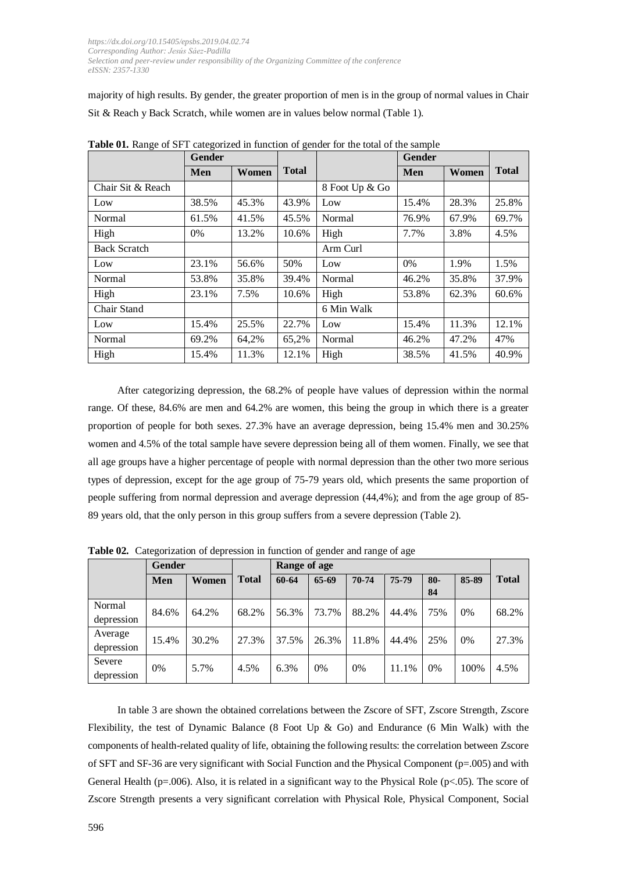majority of high results. By gender, the greater proportion of men is in the group of normal values in Chair Sit & Reach y Back Scratch, while women are in values below normal (Table 1).

|                     | Gender |       |              |                | <b>Gender</b> |       |              |
|---------------------|--------|-------|--------------|----------------|---------------|-------|--------------|
|                     | Men    | Women | <b>Total</b> |                | Men           | Women | <b>Total</b> |
| Chair Sit & Reach   |        |       |              | 8 Foot Up & Go |               |       |              |
| Low                 | 38.5%  | 45.3% | 43.9%        | Low            | 15.4%         | 28.3% | 25.8%        |
| Normal              | 61.5%  | 41.5% | 45.5%        | Normal         | 76.9%         | 67.9% | 69.7%        |
| High                | $0\%$  | 13.2% | 10.6%        | High           | 7.7%          | 3.8%  | 4.5%         |
| <b>Back Scratch</b> |        |       |              | Arm Curl       |               |       |              |
| Low                 | 23.1%  | 56.6% | 50%          | Low            | $0\%$         | 1.9%  | 1.5%         |
| Normal              | 53.8%  | 35.8% | 39.4%        | Normal         | 46.2%         | 35.8% | 37.9%        |
| High                | 23.1%  | 7.5%  | 10.6%        | High           | 53.8%         | 62.3% | 60.6%        |
| Chair Stand         |        |       |              | 6 Min Walk     |               |       |              |
| Low                 | 15.4%  | 25.5% | 22.7%        | Low            | 15.4%         | 11.3% | 12.1%        |
| Normal              | 69.2%  | 64,2% | 65,2%        | Normal         | 46.2%         | 47.2% | 47%          |
| High                | 15.4%  | 11.3% | 12.1%        | High           | 38.5%         | 41.5% | 40.9%        |

**Table 01.** Range of SFT categorized in function of gender for the total of the sample

After categorizing depression, the 68.2% of people have values of depression within the normal range. Of these, 84.6% are men and 64.2% are women, this being the group in which there is a greater proportion of people for both sexes. 27.3% have an average depression, being 15.4% men and 30.25% women and 4.5% of the total sample have severe depression being all of them women. Finally, we see that all age groups have a higher percentage of people with normal depression than the other two more serious types of depression, except for the age group of 75-79 years old, which presents the same proportion of people suffering from normal depression and average depression (44,4%); and from the age group of 85- 89 years old, that the only person in this group suffers from a severe depression (Table 2).

|                       | <b>Gender</b> |       |              | Range of age |         |       |       |              |       |              |
|-----------------------|---------------|-------|--------------|--------------|---------|-------|-------|--------------|-------|--------------|
|                       | Men           | Women | <b>Total</b> | 60-64        | $65-69$ | 70-74 | 75-79 | $80 -$<br>84 | 85-89 | <b>Total</b> |
| Normal<br>depression  | 84.6%         | 64.2% | 68.2%        | 56.3%        | 73.7%   | 88.2% | 44.4% | 75%          | 0%    | 68.2%        |
| Average<br>depression | 15.4%         | 30.2% | 27.3%        | 37.5%        | 26.3%   | 11.8% | 44.4% | 25%          | 0%    | 27.3%        |
| Severe<br>depression  | 0%            | 5.7%  | 4.5%         | 6.3%         | 0%      | 0%    | 11.1% | 0%           | 100%  | 4.5%         |

**Table 02.** Categorization of depression in function of gender and range of age

In table 3 are shown the obtained correlations between the Zscore of SFT, Zscore Strength, Zscore Flexibility, the test of Dynamic Balance (8 Foot Up & Go) and Endurance (6 Min Walk) with the components of health-related quality of life, obtaining the following results: the correlation between Zscore of SFT and SF-36 are very significant with Social Function and the Physical Component (p=.005) and with General Health (p=.006). Also, it is related in a significant way to the Physical Role (p<.05). The score of Zscore Strength presents a very significant correlation with Physical Role, Physical Component, Social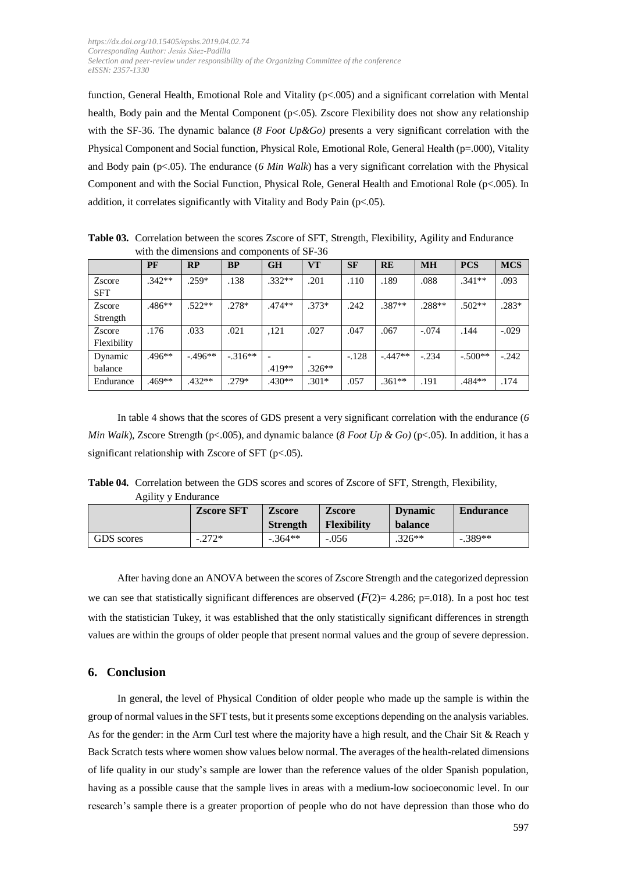function, General Health, Emotional Role and Vitality (p<.005) and a significant correlation with Mental health, Body pain and the Mental Component (p<.05). Zscore Flexibility does not show any relationship with the SF-36. The dynamic balance (*8 Foot Up&Go)* presents a very significant correlation with the Physical Component and Social function, Physical Role, Emotional Role, General Health (p=.000), Vitality and Body pain (p<.05). The endurance (*6 Min Walk*) has a very significant correlation with the Physical Component and with the Social Function, Physical Role, General Health and Emotional Role (p<.005). In addition, it correlates significantly with Vitality and Body Pain (p<.05).

**Table 03.** Correlation between the scores Zscore of SFT, Strength, Flexibility, Agility and Endurance with the dimensions and components of SF-36

|             | PF       | RP       | <b>BP</b> | <b>GH</b> | <b>VT</b> | <b>SF</b> | <b>RE</b> | <b>MH</b> | <b>PCS</b> | <b>MCS</b> |
|-------------|----------|----------|-----------|-----------|-----------|-----------|-----------|-----------|------------|------------|
| Zscore      | $.342**$ | $.259*$  | .138      | $.332**$  | .201      | .110      | .189      | .088      | $.341**$   | .093       |
| <b>SFT</b>  |          |          |           |           |           |           |           |           |            |            |
| Zscore      | .486**   | $.522**$ | $.278*$   | $.474**$  | $.373*$   | .242      | .387**    | .288**    | $.502**$   | $.283*$    |
| Strength    |          |          |           |           |           |           |           |           |            |            |
| Zscore      | .176     | .033     | .021      | ,121      | .027      | .047      | .067      | $-.074$   | .144       | $-.029$    |
| Flexibility |          |          |           |           |           |           |           |           |            |            |
| Dynamic     | .496**   | $-496**$ | $-316**$  |           |           | $-.128$   | $-447**$  | $-.234$   | $-.500**$  | $-.242$    |
| balance     |          |          |           | $.419**$  | $.326**$  |           |           |           |            |            |
| Endurance   | .469**   | .432**   | $.279*$   | $.430**$  | $.301*$   | .057      | $.361**$  | .191      | .484**     | .174       |

In table 4 shows that the scores of GDS present a very significant correlation with the endurance (*6 Min Walk*), Zscore Strength (p<.005), and dynamic balance (*8 Foot Up & Go*) (p<.05). In addition, it has a significant relationship with Zscore of SFT (p<.05).

**Table 04.** Correlation between the GDS scores and scores of Zscore of SFT, Strength, Flexibility, Agility y Endurance

|            | <b>Zscore SFT</b> | <b>Zscore</b><br><b>Strength</b> | <b>Zscore</b><br><b>Flexibility</b> | <b>D</b> vnamic<br>balance | <b>Endurance</b> |
|------------|-------------------|----------------------------------|-------------------------------------|----------------------------|------------------|
| GDS scores | $-.272*$          | $-.364**$                        | $-.056$                             | $.326**$                   | $-.389**$        |

After having done an ANOVA between the scores of Zscore Strength and the categorized depression we can see that statistically significant differences are observed  $(F(2)= 4.286; p=.018)$ . In a post hoc test with the statistician Tukey, it was established that the only statistically significant differences in strength values are within the groups of older people that present normal values and the group of severe depression.

## **6. Conclusion**

In general, the level of Physical Condition of older people who made up the sample is within the group of normal valuesin the SFT tests, but it presentssome exceptions depending on the analysis variables. As for the gender: in the Arm Curl test where the majority have a high result, and the Chair Sit & Reach y Back Scratch tests where women show values below normal. The averages of the health-related dimensions of life quality in our study's sample are lower than the reference values of the older Spanish population, having as a possible cause that the sample lives in areas with a medium-low socioeconomic level. In our research's sample there is a greater proportion of people who do not have depression than those who do